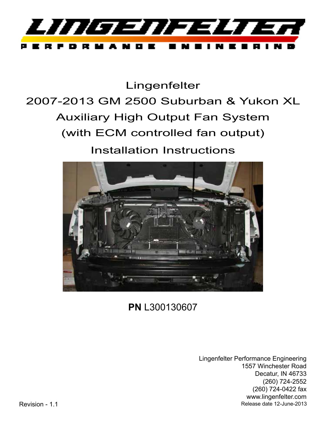

Lingenfelter

# 2007-2013 GM 2500 Suburban & Yukon XL Auxiliary High Output Fan System (with ECM controlled fan output) Installation Instructions



## **PN** L300130607

Lingenfelter Performance Engineering 1557 Winchester Road Decatur, IN 46733 (260) 724-2552 (260) 724-0422 fax www.lingenfelter.com Release date 12-June-2013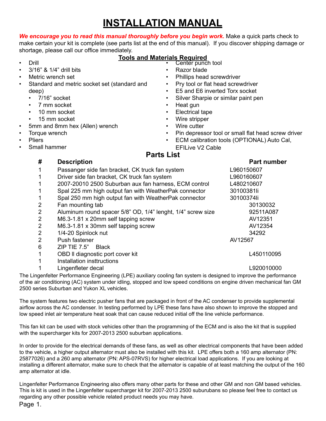## **INSTALLATION MANUAL**

We encourage you to read this manual thoroughly before you begin work. Make a quick parts check to

make certain your kit is complete (see parts list at the end of this manual). If you discover shipping damage or shortage, please call our office immediately.

- Drill
	- 3/16" & 1/4" drill bits
- Metric wrench set
- Standard and metric socket set (standard and deep)
	- 7/16" socket
	- 7 mm socket
	- 10 mm socket
	- 15 mm socket
- 5mm and 8mm hex (Allen) wrench
- Torque wrench
- **Pliers**
- Small hammer
- **Tools and Materials Required** Center punch tool
	- Razor blade
	- Phillips head screwdriver
	- Pry tool or flat head screwdriver
	- E5 and E6 inverted Torx socket
	- Silver Sharpie or similar paint pen
	- Heat gun
	- Electrical tape
	- Wire stripper
	- Wire cutter
	- Pin depressor tool or small flat head screw driver
	- ECM calibration tools (OPTIONAL) Auto Cal,
	- EFILive V2 Cable **Parts List**

| #            | <b>Description</b>                                          | <b>Part number</b> |
|--------------|-------------------------------------------------------------|--------------------|
| 1            | Passanger side fan bracket, CK truck fan system             | L960150607         |
| 1            | Driver side fan bracket, CK truck fan system                | L960160607         |
| $\mathbf 1$  | 2007-20010 2500 Suburban aux fan harness, ECM control       | L480210607         |
| $\mathbf 1$  | Spal 225 mm high output fan with WeatherPak connector       | 30100381li         |
| $\mathbf{1}$ | Spal 250 mm high output fan with WeatherPak connector       | 30100374li         |
| 2            | Fan mounting tab                                            | 30130032           |
| 2            | Aluminum round spacer 5/8" OD, 1/4" lenght, 1/4" screw size | 92511A087          |
| 2            | M6.3-1.81 x 20mm self tapping screw                         | AV12351            |
| 2            | M6.3-1.81 x 30mm self tapping screw                         | AV12354            |
| 2            | 1/4-20 Spinlock nut                                         | 34292              |
| 2            | Push fastener                                               | AV12567            |
| 6            | ZIP TIE 7.5" Black                                          |                    |
| 1            | OBD II diagnostic port cover kit                            | L450110095         |
| 1            | Installation insttructions                                  |                    |
| 1            | Lingenfleter decal                                          | L920010000         |
|              |                                                             |                    |

The Lingenfelter Performance Engineering (LPE) auxiliary cooling fan system is designed to improve the performance of the air conditioning (AC) system under idling, stopped and low speed conditions on engine driven mechanical fan GM 2500 series Suburban and Yukon XL vehicles.

The system features two electric pusher fans that are packaged in front of the AC condenser to provide supplemental airflow across the AC condenser. In testing performed by LPE these fans have also shown to improve the stopped and low speed inlet air temperature heat soak that can cause reduced initial off the line vehicle performance.

This fan kit can be used with stock vehicles other than the programming of the ECM and is also the kit that is supplied with the supercharger kits for 2007-2013 2500 suburban applications.

In order to provide for the electrical demands of these fans, as well as other electrical components that have been added to the vehicle, a higher output alternator must also be installed with this kit. LPE offers both a 160 amp alternator (PN: 25877026) and a 260 amp alternator (PN: APS-07RVS) for higher electrical load applications. If you are looking at installing a different alternator, make sure to check that the alternator is capable of at least matching the output of the 160 amp alternator at idle.

Lingenfelter Performance Engineering also offers many other parts for these and other GM and non GM based vehicles. This is kit is used in the Lingenfelter supercharger kit for 2007-2013 2500 suburubans so please feel free to contact us regarding any other possible vehicle related product needs you may have.

Page 1.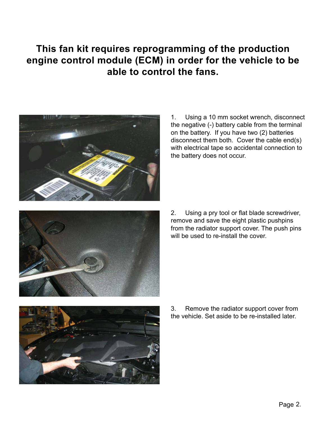### **This fan kit requires reprogramming of the production engine control module (ECM) in order for the vehicle to be able to control the fans.**



1. Using a 10 mm socket wrench, disconnect the negative (-) battery cable from the terminal on the battery. If you have two (2) batteries disconnect them both. Cover the cable end(s) with electrical tape so accidental connection to the battery does not occur.



2. Using a pry tool or flat blade screwdriver, remove and save the eight plastic pushpins from the radiator support cover. The push pins will be used to re-install the cover.



3. Remove the radiator support cover from the vehicle. Set aside to be re-installed later.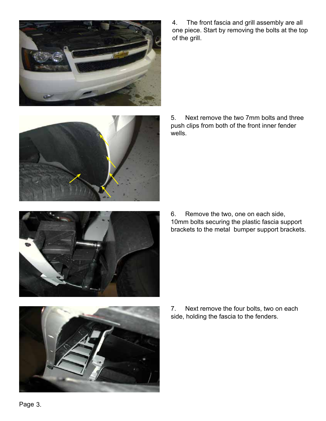



4. The front fascia and grill assembly are all one piece. Start by removing the bolts at the top of the grill.

5. Next remove the two 7mm bolts and three push clips from both of the front inner fender wells.

6. Remove the two, one on each side, 10mm bolts securing the plastic fascia support brackets to the metal bumper support brackets.

7. Next remove the four bolts, two on each side, holding the fascia to the fenders.

Page 3.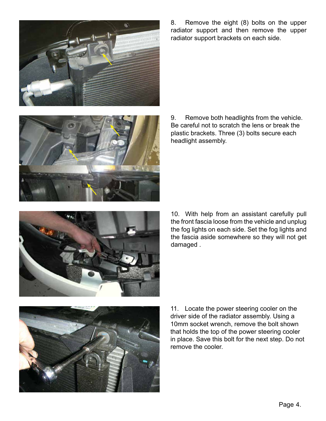



8. Remove the eight (8) bolts on the upper radiator support and then remove the upper radiator support brackets on each side.

9. Remove both headlights from the vehicle. Be careful not to scratch the lens or break the plastic brackets. Three (3) bolts secure each headlight assembly.

10. With help from an assistant carefully pull the front fascia loose from the vehicle and unplug the fog lights on each side. Set the fog lights and the fascia aside somewhere so they will not get damaged .



11. Locate the power steering cooler on the driver side of the radiator assembly. Using a 10mm socket wrench, remove the bolt shown that holds the top of the power steering cooler in place. Save this bolt for the next step. Do not remove the cooler.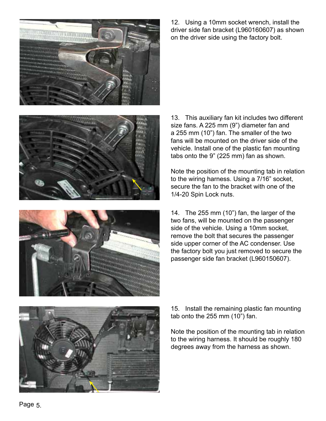

12. Using a 10mm socket wrench, install the driver side fan bracket (L960160607) as shown on the driver side using the factory bolt.





13. This auxiliary fan kit includes two different size fans. A 225 mm (9") diameter fan and a 255 mm (10") fan. The smaller of the two fans will be mounted on the driver side of the vehicle. Install one of the plastic fan mounting tabs onto the 9" (225 mm) fan as shown.

Note the position of the mounting tab in relation to the wiring harness. Using a 7/16" socket, secure the fan to the bracket with one of the 1/4-20 Spin Lock nuts.

14. The 255 mm (10") fan, the larger of the two fans, will be mounted on the passenger side of the vehicle. Using a 10mm socket, remove the bolt that secures the passenger side upper corner of the AC condenser. Use the factory bolt you just removed to secure the passenger side fan bracket (L960150607).

15. Install the remaining plastic fan mounting tab onto the 255 mm (10") fan.

Note the position of the mounting tab in relation to the wiring harness. It should be roughly 180 degrees away from the harness as shown.

Page 5.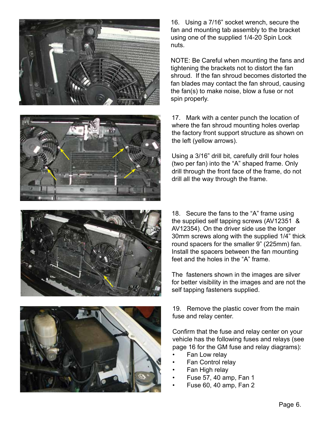







16. Using a 7/16" socket wrench, secure the fan and mounting tab assembly to the bracket using one of the supplied 1/4-20 Spin Lock nuts.

NOTE: Be Careful when mounting the fans and tightening the brackets not to distort the fan shroud. If the fan shroud becomes distorted the fan blades may contact the fan shroud, causing the fan(s) to make noise, blow a fuse or not spin properly.

17. Mark with a center punch the location of where the fan shroud mounting holes overlap the factory front support structure as shown on the left (yellow arrows).

Using a 3/16" drill bit, carefully drill four holes (two per fan) into the "A" shaped frame. Only drill through the front face of the frame, do not drill all the way through the frame.

18. Secure the fans to the "A" frame using the supplied self tapping screws (AV12351 & AV12354). On the driver side use the longer 30mm screws along with the supplied 1/4" thick round spacers for the smaller 9" (225mm) fan. Install the spacers between the fan mounting feet and the holes in the "A" frame.

The fasteners shown in the images are silver for better visibility in the images and are not the self tapping fasteners supplied.

19. Remove the plastic cover from the main fuse and relay center.

Confirm that the fuse and relay center on your vehicle has the following fuses and relays (see page 16 for the GM fuse and relay diagrams):

- Fan Low relay
- Fan Control relay
- Fan High relay
- Fuse 57, 40 amp, Fan 1
- Fuse 60, 40 amp, Fan 2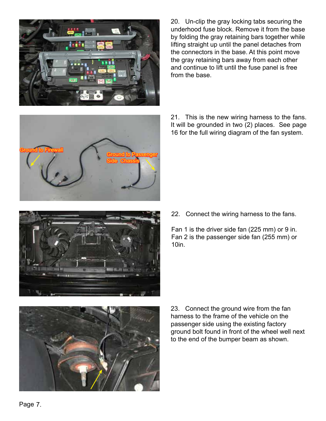

20. Un-clip the gray locking tabs securing the underhood fuse block. Remove it from the base by folding the gray retaining bars together while lifting straight up until the panel detaches from the connectors in the base. At this point move the gray retaining bars away from each other and continue to lift until the fuse panel is free from the base.



21. This is the new wiring harness to the fans. It will be grounded in two (2) places. See page 16 for the full wiring diagram of the fan system.



22. Connect the wiring harness to the fans.

Fan 1 is the driver side fan (225 mm) or 9 in. Fan 2 is the passenger side fan (255 mm) or 10in.



23. Connect the ground wire from the fan harness to the frame of the vehicle on the passenger side using the existing factory ground bolt found in front of the wheel well next to the end of the bumper beam as shown.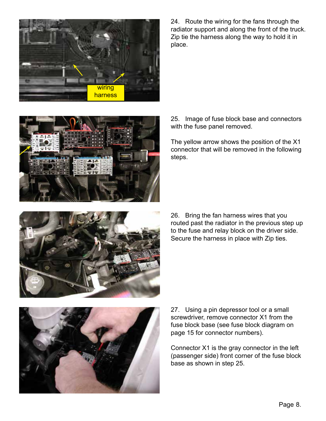

24. Route the wiring for the fans through the radiator support and along the front of the truck. Zip tie the harness along the way to hold it in place.



25. Image of fuse block base and connectors with the fuse panel removed.

The yellow arrow shows the position of the X1 connector that will be removed in the following steps.



26. Bring the fan harness wires that you routed past the radiator in the previous step up to the fuse and relay block on the driver side. Secure the harness in place with Zip ties.



27. Using a pin depressor tool or a small screwdriver, remove connector X1 from the fuse block base (see fuse block diagram on page 15 for connector numbers).

Connector X1 is the gray connector in the left (passenger side) front corner of the fuse block base as shown in step 25.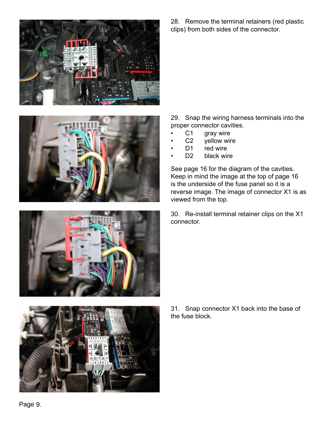





28. Remove the terminal retainers (red plastic clips) from both sides of the connector.

29. Snap the wiring harness terminals into the proper connector cavities.

- C1 gray wire<br>• C2 yellow wir
- yellow wire
- D1 red wire
- D<sub>2</sub> black wire

See page 16 for the diagram of the cavities. Keep in mind the image at the top of page 16 is the underside of the fuse panel so it is a reverse image. The image of connector X1 is as viewed from the top.

30. Re-install terminal retainer clips on the X1 connector.

31. Snap connector X1 back into the base of the fuse block.

Page 9.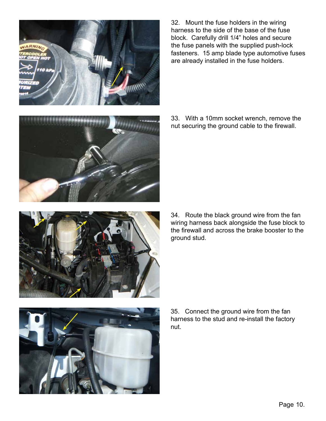32. Mount the fuse holders in the wiring harness to the side of the base of the fuse block. Carefully drill 1/4" holes and secure the fuse panels with the supplied push-lock fasteners. 15 amp blade type automotive fuses are already installed in the fuse holders.

Page 10.

33. With a 10mm socket wrench, remove the nut securing the ground cable to the firewall.

34. Route the black ground wire from the fan wiring harness back alongside the fuse block to the firewall and across the brake booster to the ground stud.

35. Connect the ground wire from the fan harness to the stud and re-install the factory nut.





,,,,,,,,,,,,,,,

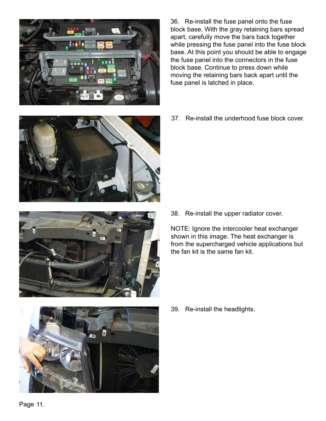

36. Re-install the fuse panel onto the fuse block base. With the gray retaining bars spread apart, carefully move the bars back together while pressing the fuse panel into the fuse block base. At this point you should be able to engage the fuse panel into the connectors in the fuse block base. Continue to press down while moving the retaining bars back apart until the fuse panel is latched in place.

37. Re-install the underhood fuse block cover.





38. Re-install the upper radiator cover.

NOTE: Ignore the intercooler heat exchanger shown in this image. The heat exchanger is from the supercharged vehicle applications but the fan kit is the same fan kit.



39. Re-install the headlights.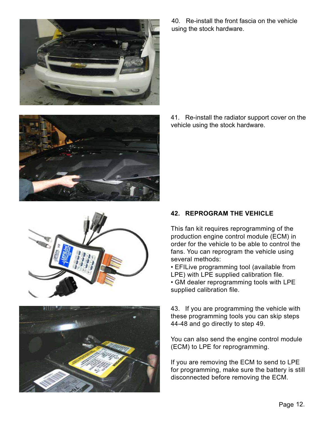







40. Re-install the front fascia on the vehicle using the stock hardware.

41. Re-install the radiator support cover on the vehicle using the stock hardware.

### **42. REPROGRAM THE VEHICLE**

This fan kit requires reprogramming of the production engine control module (ECM) in order for the vehicle to be able to control the fans. You can reprogram the vehicle using several methods:

• EFILive programming tool (available from LPE) with LPE supplied calibration file.

• GM dealer reprogramming tools with LPE supplied calibration file.

43. If you are programming the vehicle with these programming tools you can skip steps 44-48 and go directly to step 49.

You can also send the engine control module (ECM) to LPE for reprogramming.

If you are removing the ECM to send to LPE for programming, make sure the battery is still disconnected before removing the ECM.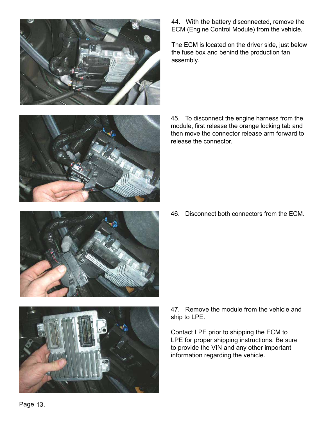





44. With the battery disconnected, remove the ECM (Engine Control Module) from the vehicle.

The ECM is located on the driver side, just below the fuse box and behind the production fan assembly.

45. To disconnect the engine harness from the module, first release the orange locking tab and then move the connector release arm forward to release the connector.

46. Disconnect both connectors from the ECM.

47. Remove the module from the vehicle and ship to LPE.

Contact LPE prior to shipping the ECM to LPE for proper shipping instructions. Be sure to provide the VIN and any other important information regarding the vehicle.

Page 13.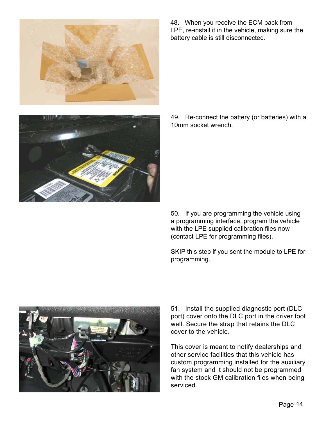

48. When you receive the ECM back from LPE, re-install it in the vehicle, making sure the battery cable is still disconnected.

49. Re-connect the battery (or batteries) with a 10mm socket wrench.

50. If you are programming the vehicle using a programming interface, program the vehicle with the LPE supplied calibration files now (contact LPE for programming files).

SKIP this step if you sent the module to LPE for programming.



51. Install the supplied diagnostic port (DLC port) cover onto the DLC port in the driver foot well. Secure the strap that retains the DLC cover to the vehicle.

This cover is meant to notify dealerships and other service facilities that this vehicle has custom programming installed for the auxiliary fan system and it should not be programmed with the stock GM calibration files when being serviced.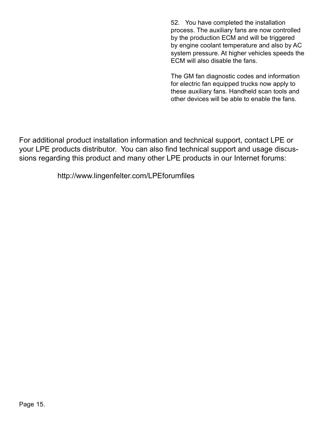52. You have completed the installation process. The auxiliary fans are now controlled by the production ECM and will be triggered by engine coolant temperature and also by AC system pressure. At higher vehicles speeds the ECM will also disable the fans.

The GM fan diagnostic codes and information for electric fan equipped trucks now apply to these auxiliary fans. Handheld scan tools and other devices will be able to enable the fans.

For additional product installation information and technical support, contact LPE or your LPE products distributor. You can also find technical support and usage discussions regarding this product and many other LPE products in our Internet forums:

http://www.lingenfelter.com/LPEforumfiles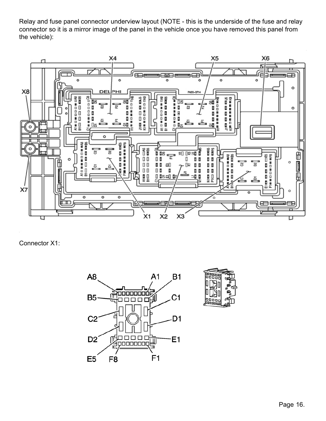Relay and fuse panel connector underview layout (NOTE - this is the underside of the fuse and relay connector so it is a mirror image of the panel in the vehicle once you have removed this panel from the vehicle):



Connector X1:



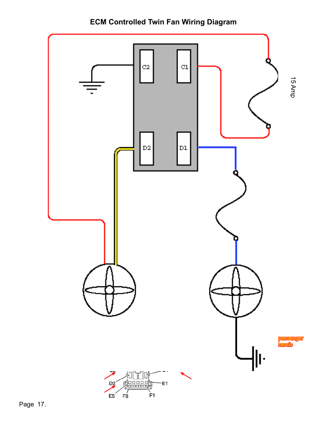$C2$  ${\tt C1}$ 15 Amp $\mathbf{D2}$  $\mathbf{D1}$ Fan 1 Fan 215 Amp senger assis 네)<br>11  $D2$ E1  $E5$  $F_8$ 

F<sub>1</sub>



Page 17.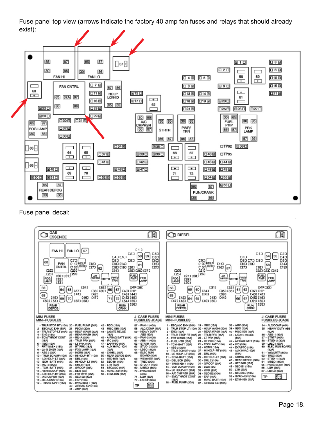Fuse panel top view (arrows indicate the factory 40 amp fan fuses and relays that should already exist):



Fuse panel decal: